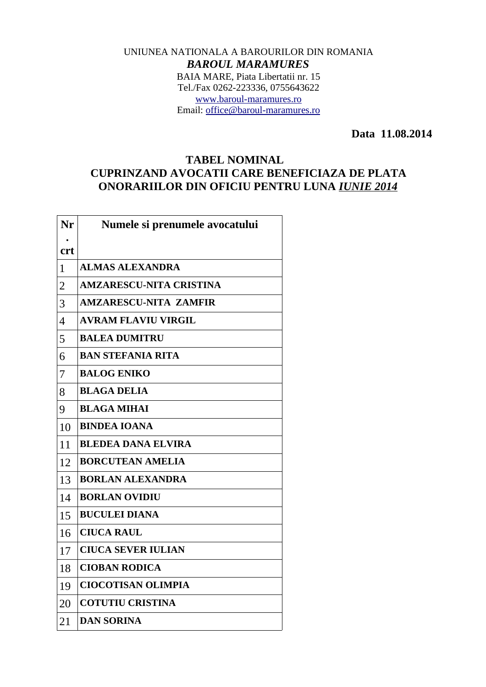## UNIUNEA NATIONALA A BAROURILOR DIN ROMANIA *BAROUL MARAMURES* BAIA MARE, Piata Libertatii nr. 15 Tel./Fax 0262-223336, 0755643622 [www.baroul-maramures.ro](http://www.baroul-maramures.ro/) Email: [office@baroul-maramures.ro](mailto:office@baroul-maramures.ro)

 **Data 11.08.2014**

## **TABEL NOMINAL CUPRINZAND AVOCATII CARE BENEFICIAZA DE PLATA ONORARIILOR DIN OFICIU PENTRU LUNA** *IUNIE 2014*

| Nr             | Numele si prenumele avocatului |
|----------------|--------------------------------|
| <b>crt</b>     |                                |
| $\mathbf{1}$   | <b>ALMAS ALEXANDRA</b>         |
| $\overline{2}$ | <b>AMZARESCU-NITA CRISTINA</b> |
| 3              | <b>AMZARESCU-NITA ZAMFIR</b>   |
| $\overline{4}$ | <b>AVRAM FLAVIU VIRGIL</b>     |
| 5              | <b>BALEA DUMITRU</b>           |
| 6              | <b>BAN STEFANIA RITA</b>       |
| 7              | <b>BALOG ENIKO</b>             |
| 8              | <b>BLAGA DELIA</b>             |
| 9              | <b>BLAGA MIHAI</b>             |
| 10             | <b>BINDEA IOANA</b>            |
| 11             | <b>BLEDEA DANA ELVIRA</b>      |
| 12             | <b>BORCUTEAN AMELIA</b>        |
| 13             | <b>BORLAN ALEXANDRA</b>        |
| 14             | <b>BORLAN OVIDIU</b>           |
| 15             | <b>BUCULEI DIANA</b>           |
| 16             | <b>CIUCA RAUL</b>              |
| 17             | <b>CIUCA SEVER IULIAN</b>      |
| 18             | <b>CIOBAN RODICA</b>           |
| 19             | <b>CIOCOTISAN OLIMPIA</b>      |
| 20             | <b>COTUTIU CRISTINA</b>        |
| 21             | <b>DAN SORINA</b>              |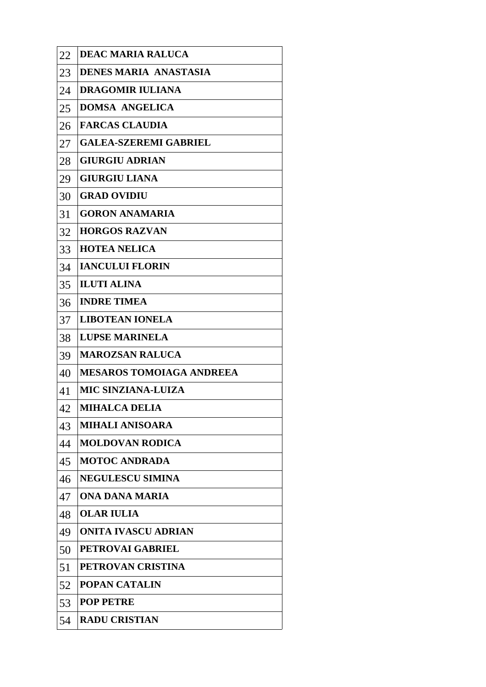| 22 | <b>DEAC MARIA RALUCA</b>        |
|----|---------------------------------|
| 23 | <b>DENES MARIA ANASTASIA</b>    |
| 24 | <b>DRAGOMIR IULIANA</b>         |
| 25 | <b>DOMSA ANGELICA</b>           |
| 26 | <b>FARCAS CLAUDIA</b>           |
| 27 | <b>GALEA-SZEREMI GABRIEL</b>    |
| 28 | <b>GIURGIU ADRIAN</b>           |
| 29 | <b>GIURGIU LIANA</b>            |
| 30 | <b>GRAD OVIDIU</b>              |
| 31 | <b>GORON ANAMARIA</b>           |
| 32 | <b>HORGOS RAZVAN</b>            |
| 33 | <b>HOTEA NELICA</b>             |
| 34 | <b>IANCULUI FLORIN</b>          |
| 35 | <b>ILUTI ALINA</b>              |
| 36 | <b>INDRE TIMEA</b>              |
| 37 | <b>LIBOTEAN IONELA</b>          |
| 38 | <b>LUPSE MARINELA</b>           |
| 39 | <b>MAROZSAN RALUCA</b>          |
| 40 | <b>MESAROS TOMOIAGA ANDREEA</b> |
| 41 | <b>MIC SINZIANA-LUIZA</b>       |
| 42 | <b>MIHALCA DELIA</b>            |
| 43 | <b>MIHALI ANISOARA</b>          |
| 44 | <b>MOLDOVAN RODICA</b>          |
| 45 | <b>MOTOC ANDRADA</b>            |
| 46 | <b>NEGULESCU SIMINA</b>         |
| 47 | ONA DANA MARIA                  |
| 48 | <b>OLAR IULIA</b>               |
| 49 | <b>ONITA IVASCU ADRIAN</b>      |
| 50 | <b>PETROVAI GABRIEL</b>         |
| 51 | PETROVAN CRISTINA               |
| 52 | <b>POPAN CATALIN</b>            |
| 53 | <b>POP PETRE</b>                |
| 54 | <b>RADU CRISTIAN</b>            |